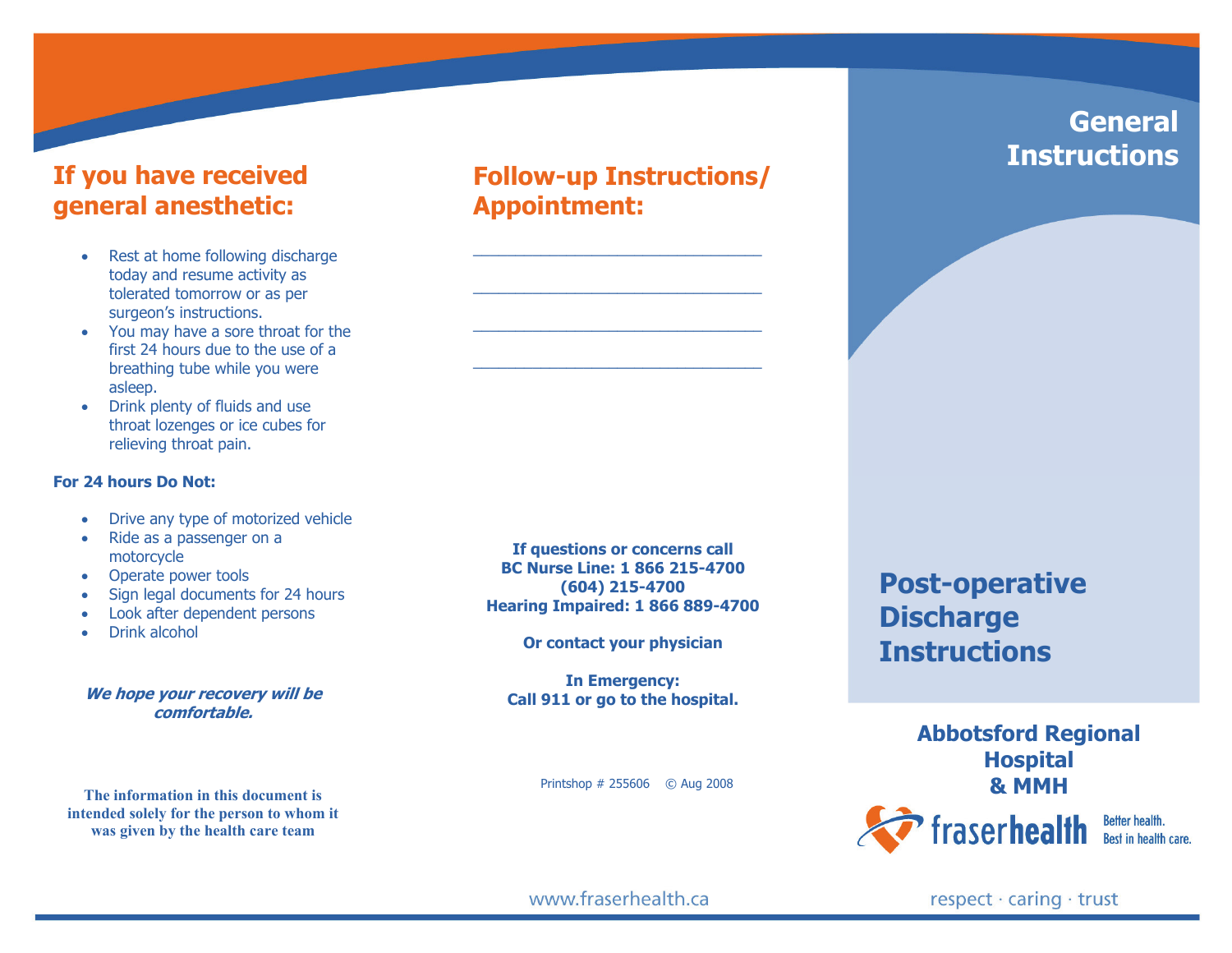### **If you have received general anesthetic:**

- • Rest at home following discharge today and resume activity as tolerated tomorrow or as per surgeon's instructions.
- • You may have a sore throat for the first 24 hours due to the use of a breathing tube while you were asleep.
- • Drink plenty of fluids and use throat lozenges or ice cubes for relieving throat pain.

#### **For 24 hours Do Not:**

- •Drive any type of motorized vehicle
- • Ride as a passenger on a motorcycle
- Operate power tools
- •Sign legal documents for 24 hours
- •Look after dependent persons
- •Drink alcohol

#### **We hope your recovery will be comfortable.**

**The information in this document is intended solely for the person to whom it was given by the health care team** 

## **Follow-up Instructions/ Appointment:**

 $\overline{\phantom{a}}$  , and the contribution of the contribution of the contribution of the contribution of the contribution of the contribution of the contribution of the contribution of the contribution of the contribution of the

 $\overline{\phantom{a}}$  ,  $\overline{\phantom{a}}$  ,  $\overline{\phantom{a}}$  ,  $\overline{\phantom{a}}$  ,  $\overline{\phantom{a}}$  ,  $\overline{\phantom{a}}$  ,  $\overline{\phantom{a}}$  ,  $\overline{\phantom{a}}$  ,  $\overline{\phantom{a}}$  ,  $\overline{\phantom{a}}$  ,  $\overline{\phantom{a}}$  ,  $\overline{\phantom{a}}$  ,  $\overline{\phantom{a}}$  ,  $\overline{\phantom{a}}$  ,  $\overline{\phantom{a}}$  ,  $\overline{\phantom{a}}$ 

 $\overline{\phantom{a}}$  , and the contribution of the contribution of the contribution of the contribution of the contribution of the contribution of the contribution of the contribution of the contribution of the contribution of the

**If questions or concerns call BC Nurse Line: 1 866 215-4700 (604) 215-4700 Hearing Impaired: 1 866 889-4700** 

**Or contact your physician** 

**In Emergency: Call 911 or go to the hospital.** 

# **Post-operative Discharge Instructions**

**Abbotsford Regional Hospital & MMH** Printshop # 255606 © Aug 2008 fraserhealth Better health. Best in health care.

**General** 

**Instructions** 

www.fraserhealth.ca

respect · caring · trust